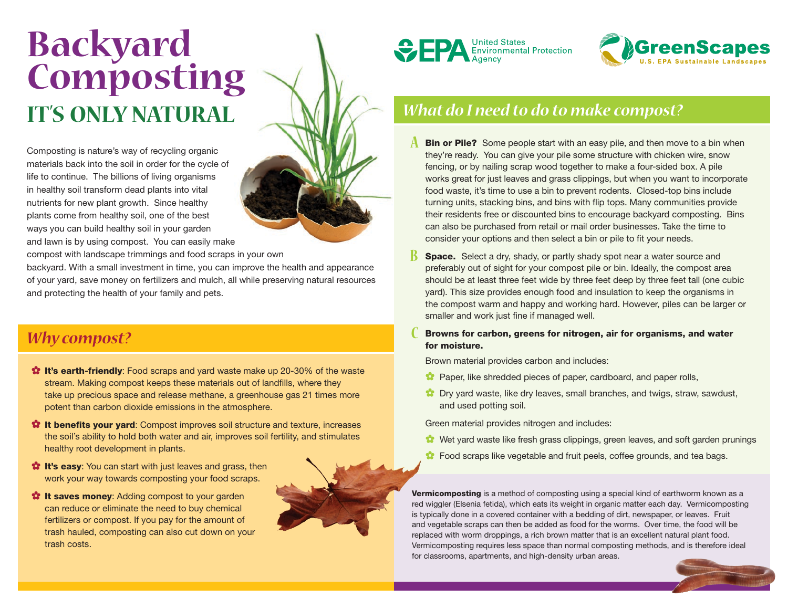# **Backyard Composting It's Only Natural**

Composting is nature's way of recycling organic materials back into the soil in order for the cycle of life to continue. The billions of living organisms in healthy soil transform dead plants into vital nutrients for new plant growth. Since healthy plants come from healthy soil, one of the best ways you can build healthy soil in your garden and lawn is by using compost. You can easily make

compost with landscape trimmings and food scraps in your own

backyard. With a small investment in time, you can improve the health and appearance of your yard, save money on fertilizers and mulch, all while preserving natural resources and protecting the health of your family and pets.

### *Why compost?*

- **<sup>2</sup>** It's earth-friendly: Food scraps and yard waste make up 20-30% of the waste stream. Making compost keeps these materials out of landfills, where they take up precious space and release methane, a greenhouse gas 21 times more potent than carbon dioxide emissions in the atmosphere.
- <sup>2</sup> It benefits your yard: Compost improves soil structure and texture, increases the soil's ability to hold both water and air, improves soil fertility, and stimulates healthy root development in plants.
- **1** It's easy: You can start with just leaves and grass, then work your way towards composting your food scraps.
- **<sup>2</sup>** It saves money: Adding compost to your garden can reduce or eliminate the need to buy chemical fertilizers or compost. If you pay for the amount of trash hauled, composting can also cut down on your trash costs.







## *What do I need to do to make compost?*

- **A** Bin or Pile? Some people start with an easy pile, and then move to a bin when they're ready. You can give your pile some structure with chicken wire, snow fencing, or by nailing scrap wood together to make a four-sided box. A pile works great for just leaves and grass clippings, but when you want to incorporate food waste, it's time to use a bin to prevent rodents. Closed-top bins include turning units, stacking bins, and bins with flip tops. Many communities provide their residents free or discounted bins to encourage backyard composting. Bins can also be purchased from retail or mail order businesses. Take the time to consider your options and then select a bin or pile to fit your needs.
- **B** Space. Select a dry, shady, or partly shady spot near a water source and preferably out of sight for your compost pile or bin. Ideally, the compost area should be at least three feet wide by three feet deep by three feet tall (one cubic yard). This size provides enough food and insulation to keep the organisms in the compost warm and happy and working hard. However, piles can be larger or smaller and work just fine if managed well.
- **C** Browns for carbon, greens for nitrogen, air for organisms, and water for moisture.

Brown material provides carbon and includes:

- **Paper, like shredded pieces of paper, cardboard, and paper rolls,**
- **C** Dry yard waste, like dry leaves, small branches, and twigs, straw, sawdust, and used potting soil.

Green material provides nitrogen and includes:

- Wet yard waste like fresh grass clippings, green leaves, and soft garden prunings
- **C** Food scraps like vegetable and fruit peels, coffee grounds, and tea bags.

Vermicomposting is a method of composting using a special kind of earthworm known as a red wiggler (Elsenia fetida), which eats its weight in organic matter each day. Vermicomposting is typically done in a covered container with a bedding of dirt, newspaper, or leaves. Fruit and vegetable scraps can then be added as food for the worms. Over time, the food will be replaced with worm droppings, a rich brown matter that is an excellent natural plant food. Vermicomposting requires less space than normal composting methods, and is therefore ideal for classrooms, apartments, and high-density urban areas.